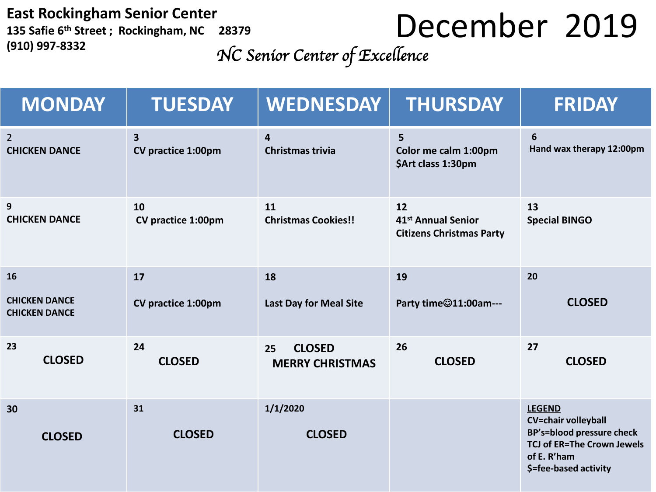**East Rockingham Senior Center 135 Safie 6 th Street ; Rockingham, NC 28379 (910) 997-8332**

## December 2019

*NC Senior Center of Excellence* 

| <b>MONDAY</b>                                | <b>TUESDAY</b>                                       | <b>WEDNESDAY</b>                                   | <b>THURSDAY</b>                                                         | <b>FRIDAY</b>                                                                                                                                                |
|----------------------------------------------|------------------------------------------------------|----------------------------------------------------|-------------------------------------------------------------------------|--------------------------------------------------------------------------------------------------------------------------------------------------------------|
| $2^{\circ}$<br><b>CHICKEN DANCE</b>          | $\overline{\mathbf{3}}$<br><b>CV practice 1:00pm</b> | $\overline{\mathbf{4}}$<br><b>Christmas trivia</b> | 5<br>Color me calm 1:00pm<br>\$Art class 1:30pm                         | 6<br>Hand wax therapy 12:00pm                                                                                                                                |
| 9<br><b>CHICKEN DANCE</b>                    | 10<br>CV practice 1:00pm                             | 11<br><b>Christmas Cookies!!</b>                   | 12<br>41 <sup>st</sup> Annual Senior<br><b>Citizens Christmas Party</b> | 13<br><b>Special BINGO</b>                                                                                                                                   |
| 16                                           | 17                                                   | 18                                                 | 19                                                                      | 20                                                                                                                                                           |
| <b>CHICKEN DANCE</b><br><b>CHICKEN DANCE</b> | <b>CV practice 1:00pm</b>                            | <b>Last Day for Meal Site</b>                      | Party time@11:00am---                                                   | <b>CLOSED</b>                                                                                                                                                |
| 23<br><b>CLOSED</b>                          | 24<br><b>CLOSED</b>                                  | <b>CLOSED</b><br>25<br><b>MERRY CHRISTMAS</b>      | 26<br><b>CLOSED</b>                                                     | 27<br><b>CLOSED</b>                                                                                                                                          |
| 30<br><b>CLOSED</b>                          | 31<br><b>CLOSED</b>                                  | 1/1/2020<br><b>CLOSED</b>                          |                                                                         | <b>LEGEND</b><br><b>CV=chair volleyball</b><br><b>BP's=blood pressure check</b><br><b>TCJ of ER=The Crown Jewels</b><br>of E. R'ham<br>\$=fee-based activity |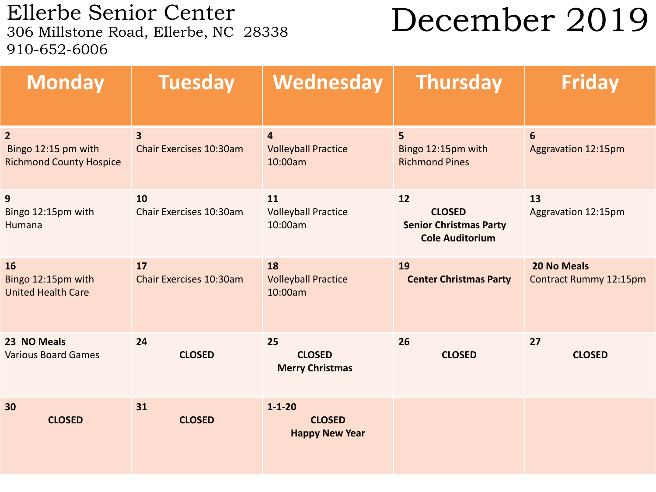Ellerbe Senior Center<br>306 Millstone Road, Ellerbe, NC 28338 910-652-6006

## December 2019

| <b>Monday</b>                                                           | <b>Tuesday</b>                                            | Wednesday                                               | <b>Thursday</b>                                                                | <b>Friday</b>                                       |
|-------------------------------------------------------------------------|-----------------------------------------------------------|---------------------------------------------------------|--------------------------------------------------------------------------------|-----------------------------------------------------|
| $\overline{2}$<br>Bingo 12:15 pm with<br><b>Richmond County Hospice</b> | $\overline{\mathbf{3}}$<br><b>Chair Exercises 10:30am</b> | $\overline{4}$<br><b>Volleyball Practice</b><br>10:00am | 5<br>Bingo 12:15pm with<br><b>Richmond Pines</b>                               | $6\phantom{1}$<br><b>Aggravation 12:15pm</b>        |
| 9<br>Bingo 12:15pm with<br>Humana                                       | 10<br>Chair Exercises 10:30am                             | 11<br><b>Volleyball Practice</b><br>10:00am             | 12<br><b>CLOSED</b><br><b>Senior Christmas Party</b><br><b>Cole Auditorium</b> | 13<br>Aggravation 12:15pm                           |
| 16<br>Bingo 12:15pm with<br><b>United Health Care</b>                   | 17<br>Chair Exercises 10:30am                             | 18<br><b>Volleyball Practice</b><br>10:00am             | 19<br><b>Center Christmas Party</b>                                            | <b>20 No Meals</b><br><b>Contract Rummy 12:15pm</b> |
| 23 NO Meals<br><b>Various Board Games</b>                               | 24<br><b>CLOSED</b>                                       | 25<br><b>CLOSED</b><br><b>Merry Christmas</b>           | 26<br><b>CLOSED</b>                                                            | 27<br><b>CLOSED</b>                                 |
| 30<br><b>CLOSED</b>                                                     | 31<br><b>CLOSED</b>                                       | $1 - 1 - 20$<br><b>CLOSED</b><br><b>Happy New Year</b>  |                                                                                |                                                     |